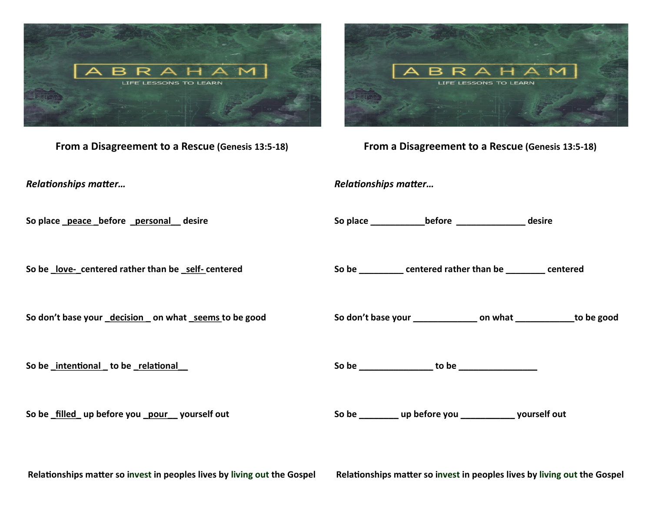

**From a Disagreement to a Rescue (Genesis 13:5-18)**

*Relationships matter…*

**So place \_peace \_before \_personal\_\_ desire**

**So be \_love-\_centered rather than be \_self- centered**

**So don't base your \_decision \_ on what \_seems to be good**

**So be \_intentional \_ to be \_relational\_\_**

**So be \_filled\_ up before you \_pour\_\_ yourself out**



**From a Disagreement to a Rescue (Genesis 13:5-18)**

*Relationships matter…*

**So place \_\_\_\_\_\_\_\_\_\_\_before \_\_\_\_\_\_\_\_\_\_\_\_\_\_ desire**

**So be \_\_\_\_\_\_\_\_\_ centered rather than be \_\_\_\_\_\_\_\_ centered**

**So don't base your \_\_\_\_\_\_\_\_\_\_\_\_\_ on what \_\_\_\_\_\_\_\_\_\_\_\_to be good**

**So be \_\_\_\_\_\_\_\_\_\_\_\_\_\_\_ to be \_\_\_\_\_\_\_\_\_\_\_\_\_\_\_\_**

**So be \_\_\_\_\_\_\_\_ up before you \_\_\_\_\_\_\_\_\_\_\_ yourself out**

**Relationships matter so invest in peoples lives by living out the Gospel**

**Relationships matter so invest in peoples lives by living out the Gospel**